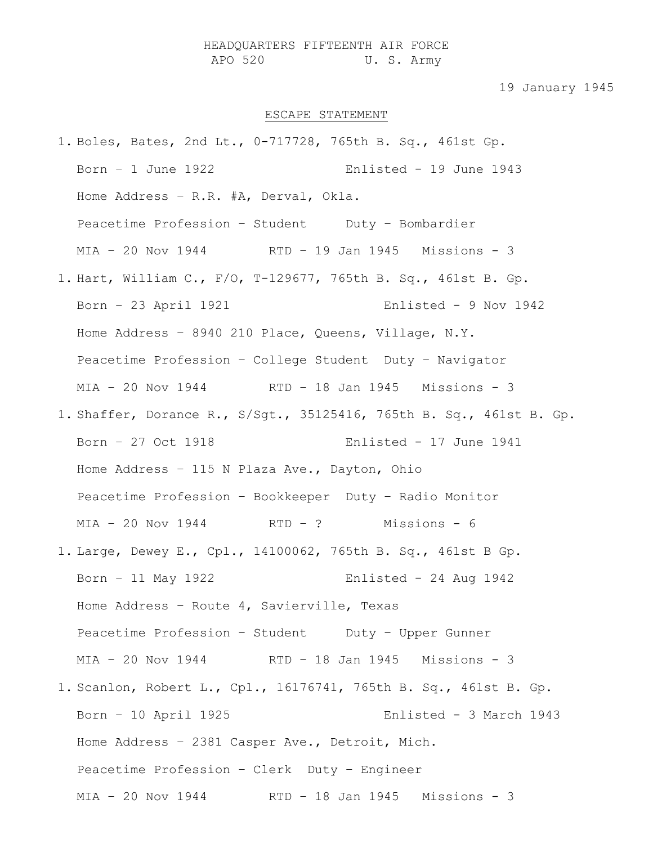## HEADQUARTERS FIFTEENTH AIR FORCE APO 520 U. S. Army

## 19 January 1945

## ESCAPE STATEMENT

1. Boles, Bates, 2nd Lt., 0-717728, 765th B. Sq., 461st Gp. Born – 1 June 1922 Enlisted - 19 June 1943 Home Address – R.R. #A, Derval, Okla. Peacetime Profession - Student Duty - Bombardier MIA – 20 Nov 1944 RTD – 19 Jan 1945 Missions - 3 1. Hart, William C., F/O, T-129677, 765th B. Sq., 461st B. Gp. Born – 23 April 1921 Enlisted - 9 Nov 1942 Home Address – 8940 210 Place, Queens, Village, N.Y. Peacetime Profession – College Student Duty – Navigator MIA – 20 Nov 1944 RTD – 18 Jan 1945 Missions - 3 1. Shaffer, Dorance R., S/Sgt., 35125416, 765th B. Sq., 461st B. Gp. Born – 27 Oct 1918 Enlisted - 17 June 1941 Home Address – 115 N Plaza Ave., Dayton, Ohio Peacetime Profession – Bookkeeper Duty – Radio Monitor MIA – 20 Nov 1944 RTD – ? Missions - 6 1. Large, Dewey E., Cpl., 14100062, 765th B. Sq., 461st B Gp. Born – 11 May 1922 Enlisted - 24 Aug 1942 Home Address – Route 4, Savierville, Texas Peacetime Profession - Student Duty - Upper Gunner MIA – 20 Nov 1944 RTD – 18 Jan 1945 Missions - 3 1. Scanlon, Robert L., Cpl., 16176741, 765th B. Sq., 461st B. Gp. Born – 10 April 1925 Enlisted - 3 March 1943 Home Address – 2381 Casper Ave., Detroit, Mich. Peacetime Profession – Clerk Duty – Engineer MIA – 20 Nov 1944 RTD – 18 Jan 1945 Missions - 3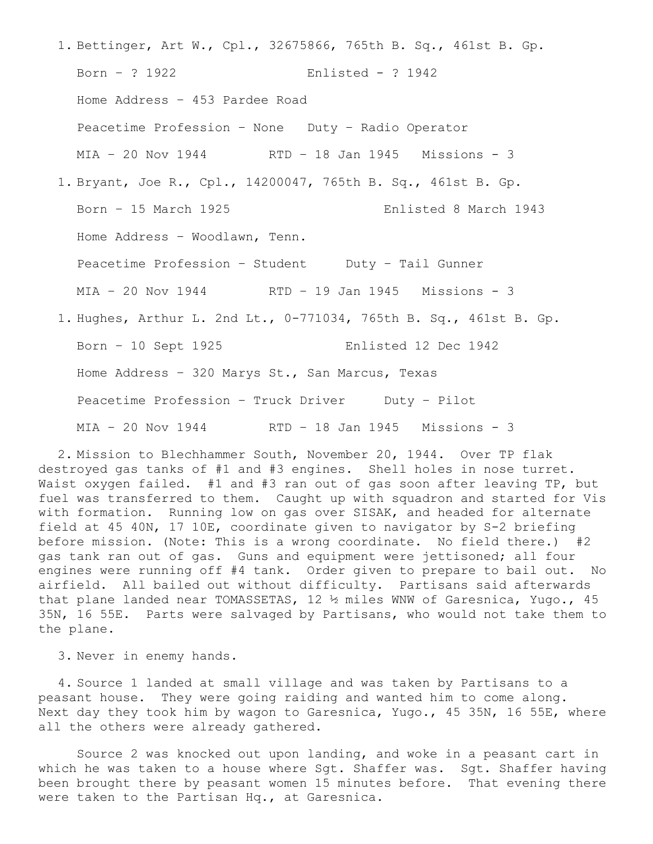- 1. Bettinger, Art W., Cpl., 32675866, 765th B. Sq., 461st B. Gp. Born – ? 1922 Enlisted - ? 1942 Home Address – 453 Pardee Road Peacetime Profession – None Duty – Radio Operator MIA – 20 Nov 1944 RTD – 18 Jan 1945 Missions - 3 1. Bryant, Joe R., Cpl., 14200047, 765th B. Sq., 461st B. Gp. Born – 15 March 1925 Enlisted 8 March 1943 Home Address – Woodlawn, Tenn. Peacetime Profession - Student Duty - Tail Gunner MIA – 20 Nov 1944 RTD – 19 Jan 1945 Missions - 3 1. Hughes, Arthur L. 2nd Lt., 0-771034, 765th B. Sq., 461st B. Gp.
	- Born 10 Sept 1925 Enlisted 12 Dec 1942 Home Address – 320 Marys St., San Marcus, Texas Peacetime Profession - Truck Driver Duty - Pilot MIA – 20 Nov 1944 RTD – 18 Jan 1945 Missions - 3

2. Mission to Blechhammer South, November 20, 1944. Over TP flak destroyed gas tanks of #1 and #3 engines. Shell holes in nose turret. Waist oxygen failed. #1 and #3 ran out of gas soon after leaving TP, but fuel was transferred to them. Caught up with squadron and started for Vis with formation. Running low on gas over SISAK, and headed for alternate field at 45 40N, 17 10E, coordinate given to navigator by S-2 briefing before mission. (Note: This is a wrong coordinate. No field there.) #2 gas tank ran out of gas. Guns and equipment were jettisoned; all four engines were running off #4 tank. Order given to prepare to bail out. No airfield. All bailed out without difficulty. Partisans said afterwards that plane landed near TOMASSETAS, 12 ½ miles WNW of Garesnica, Yugo., 45 35N, 16 55E. Parts were salvaged by Partisans, who would not take them to the plane.

3. Never in enemy hands.

4. Source 1 landed at small village and was taken by Partisans to a peasant house. They were going raiding and wanted him to come along. Next day they took him by wagon to Garesnica, Yugo., 45 35N, 16 55E, where all the others were already gathered.

Source 2 was knocked out upon landing, and woke in a peasant cart in which he was taken to a house where Sgt. Shaffer was. Sgt. Shaffer having been brought there by peasant women 15 minutes before. That evening there were taken to the Partisan Hq., at Garesnica.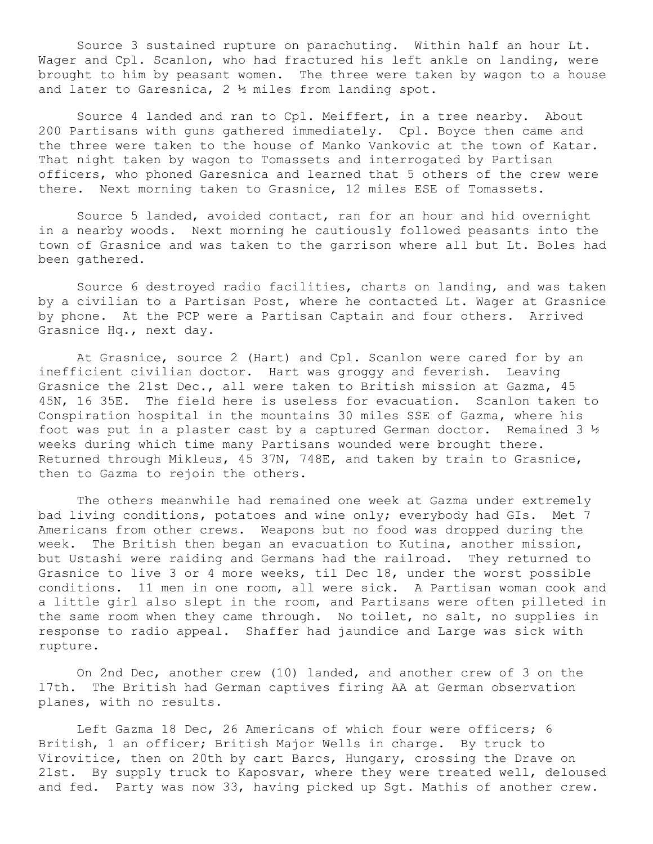Source 3 sustained rupture on parachuting. Within half an hour Lt. Wager and Cpl. Scanlon, who had fractured his left ankle on landing, were brought to him by peasant women. The three were taken by wagon to a house and later to Garesnica, 2 ½ miles from landing spot.

Source 4 landed and ran to Cpl. Meiffert, in a tree nearby. About 200 Partisans with guns gathered immediately. Cpl. Boyce then came and the three were taken to the house of Manko Vankovic at the town of Katar. That night taken by wagon to Tomassets and interrogated by Partisan officers, who phoned Garesnica and learned that 5 others of the crew were there. Next morning taken to Grasnice, 12 miles ESE of Tomassets.

Source 5 landed, avoided contact, ran for an hour and hid overnight in a nearby woods. Next morning he cautiously followed peasants into the town of Grasnice and was taken to the garrison where all but Lt. Boles had been gathered.

Source 6 destroyed radio facilities, charts on landing, and was taken by a civilian to a Partisan Post, where he contacted Lt. Wager at Grasnice by phone. At the PCP were a Partisan Captain and four others. Arrived Grasnice Hq., next day.

At Grasnice, source 2 (Hart) and Cpl. Scanlon were cared for by an inefficient civilian doctor. Hart was groggy and feverish. Leaving Grasnice the 21st Dec., all were taken to British mission at Gazma, 45 45N, 16 35E. The field here is useless for evacuation. Scanlon taken to Conspiration hospital in the mountains 30 miles SSE of Gazma, where his foot was put in a plaster cast by a captured German doctor. Remained 3  $\frac{1}{2}$ weeks during which time many Partisans wounded were brought there. Returned through Mikleus, 45 37N, 748E, and taken by train to Grasnice, then to Gazma to rejoin the others.

The others meanwhile had remained one week at Gazma under extremely bad living conditions, potatoes and wine only; everybody had GIs. Met 7 Americans from other crews. Weapons but no food was dropped during the week. The British then began an evacuation to Kutina, another mission, but Ustashi were raiding and Germans had the railroad. They returned to Grasnice to live 3 or 4 more weeks, til Dec 18, under the worst possible conditions. 11 men in one room, all were sick. A Partisan woman cook and a little girl also slept in the room, and Partisans were often pilleted in the same room when they came through. No toilet, no salt, no supplies in response to radio appeal. Shaffer had jaundice and Large was sick with rupture.

On 2nd Dec, another crew (10) landed, and another crew of 3 on the 17th. The British had German captives firing AA at German observation planes, with no results.

Left Gazma 18 Dec, 26 Americans of which four were officers; 6 British, 1 an officer; British Major Wells in charge. By truck to Virovitice, then on 20th by cart Barcs, Hungary, crossing the Drave on 21st. By supply truck to Kaposvar, where they were treated well, deloused and fed. Party was now 33, having picked up Sgt. Mathis of another crew.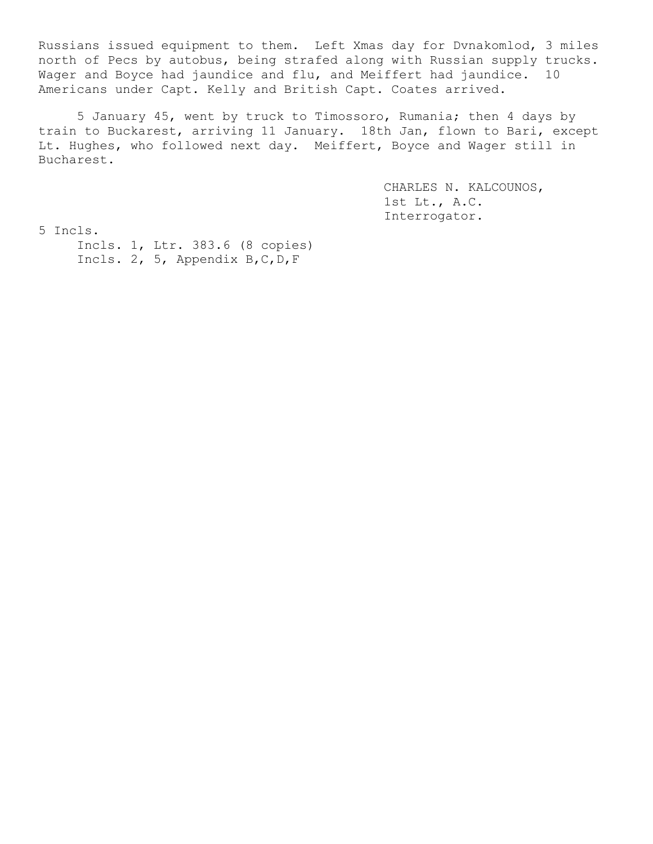Russians issued equipment to them. Left Xmas day for Dvnakomlod, 3 miles north of Pecs by autobus, being strafed along with Russian supply trucks. Wager and Boyce had jaundice and flu, and Meiffert had jaundice. 10 Americans under Capt. Kelly and British Capt. Coates arrived.

5 January 45, went by truck to Timossoro, Rumania; then 4 days by train to Buckarest, arriving 11 January. 18th Jan, flown to Bari, except Lt. Hughes, who followed next day. Meiffert, Boyce and Wager still in Bucharest.

> CHARLES N. KALCOUNOS, 1st Lt., A.C. Interrogator.

5 Incls.

Incls. 1, Ltr. 383.6 (8 copies) Incls. 2, 5, Appendix B,C,D,F